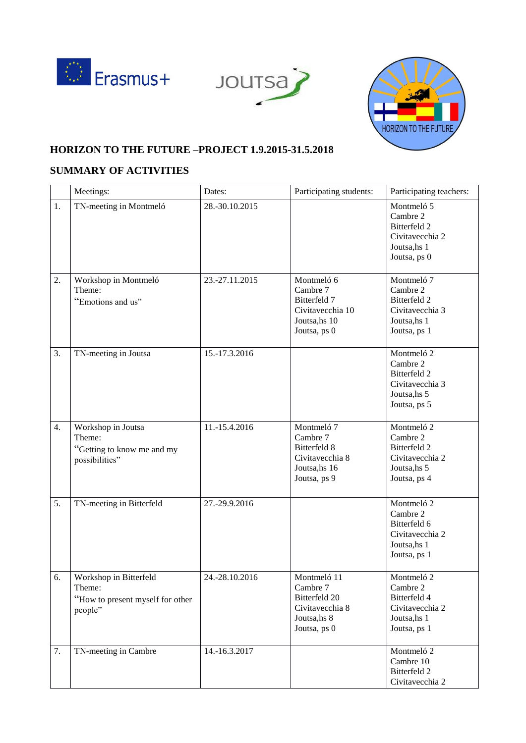





## **HORIZON TO THE FUTURE –PROJECT 1.9.2015-31.5.2018**

## **SUMMARY OF ACTIVITIES**

|    | Meetings:                                                                       | Dates:         | Participating students:                                                                     | Participating teachers:                                                                   |
|----|---------------------------------------------------------------------------------|----------------|---------------------------------------------------------------------------------------------|-------------------------------------------------------------------------------------------|
| 1. | TN-meeting in Montmeló                                                          | 28.-30.10.2015 |                                                                                             | Montmeló 5<br>Cambre 2<br>Bitterfeld 2<br>Civitavecchia 2<br>Joutsa, hs 1<br>Joutsa, ps 0 |
| 2. | Workshop in Montmeló<br>Theme:<br>"Emotions and us"                             | 23.-27.11.2015 | Montmeló 6<br>Cambre 7<br>Bitterfeld 7<br>Civitavecchia 10<br>Joutsa, hs 10<br>Joutsa, ps 0 | Montmeló 7<br>Cambre 2<br>Bitterfeld 2<br>Civitavecchia 3<br>Joutsa, hs 1<br>Joutsa, ps 1 |
| 3. | TN-meeting in Joutsa                                                            | 15.-17.3.2016  |                                                                                             | Montmeló 2<br>Cambre 2<br>Bitterfeld 2<br>Civitavecchia 3<br>Joutsa, hs 5<br>Joutsa, ps 5 |
| 4. | Workshop in Joutsa<br>Theme:<br>"Getting to know me and my<br>possibilities"    | 11.-15.4.2016  | Montmeló 7<br>Cambre 7<br>Bitterfeld 8<br>Civitavecchia 8<br>Joutsa, hs 16<br>Joutsa, ps 9  | Montmeló 2<br>Cambre 2<br>Bitterfeld 2<br>Civitavecchia 2<br>Joutsa, hs 5<br>Joutsa, ps 4 |
| 5. | TN-meeting in Bitterfeld                                                        | 27.-29.9.2016  |                                                                                             | Montmeló 2<br>Cambre 2<br>Bitterfeld 6<br>Civitavecchia 2<br>Joutsa, hs 1<br>Joutsa, ps 1 |
| 6. | Workshop in Bitterfeld<br>Theme:<br>"How to present myself for other<br>people" | 24.-28.10.2016 | Montmeló 11<br>Cambre 7<br>Bitterfeld 20<br>Civitavecchia 8<br>Joutsa, hs 8<br>Joutsa, ps 0 | Montmeló 2<br>Cambre 2<br>Bitterfeld 4<br>Civitavecchia 2<br>Joutsa, hs 1<br>Joutsa, ps 1 |
| 7. | TN-meeting in Cambre                                                            | 14.-16.3.2017  |                                                                                             | Montmeló 2<br>Cambre 10<br>Bitterfeld 2<br>Civitavecchia 2                                |